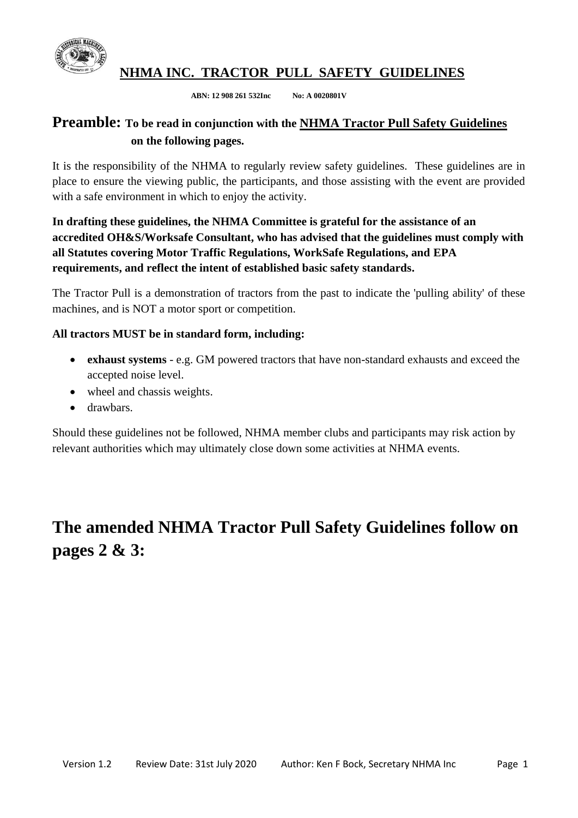

**NHMA INC. TRACTOR PULL SAFETY GUIDELINES**

 **ABN: 12 908 261 532Inc No: A 0020801V**

### **Preamble: To be read in conjunction with the NHMA Tractor Pull Safety Guidelines on the following pages.**

It is the responsibility of the NHMA to regularly review safety guidelines. These guidelines are in place to ensure the viewing public, the participants, and those assisting with the event are provided with a safe environment in which to enjoy the activity.

### **In drafting these guidelines, the NHMA Committee is grateful for the assistance of an accredited OH&S/Worksafe Consultant, who has advised that the guidelines must comply with all Statutes covering Motor Traffic Regulations, WorkSafe Regulations, and EPA requirements, and reflect the intent of established basic safety standards.**

The Tractor Pull is a demonstration of tractors from the past to indicate the 'pulling ability' of these machines, and is NOT a motor sport or competition.

#### **All tractors MUST be in standard form, including:**

- **exhaust systems** e.g. GM powered tractors that have non-standard exhausts and exceed the accepted noise level.
- wheel and chassis weights.
- drawbars.

Should these guidelines not be followed, NHMA member clubs and participants may risk action by relevant authorities which may ultimately close down some activities at NHMA events.

# **The amended NHMA Tractor Pull Safety Guidelines follow on pages 2 & 3:**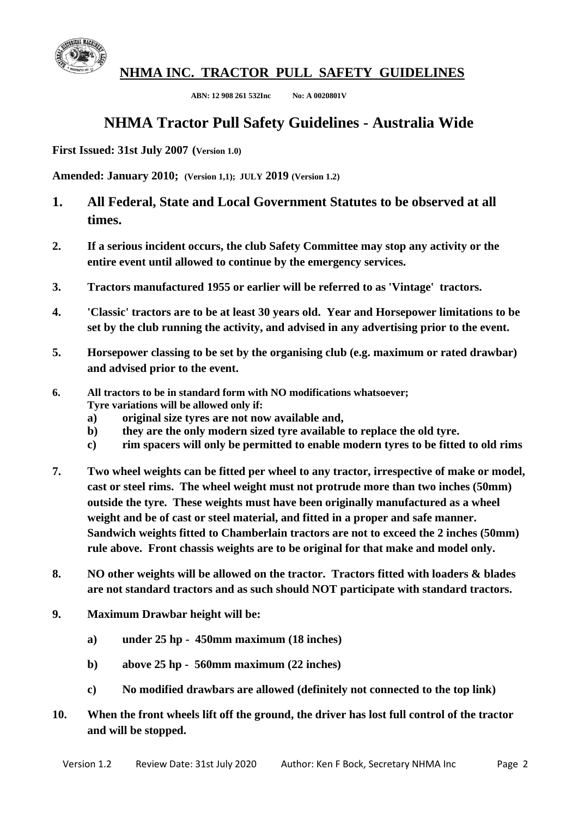

**NHMA INC. TRACTOR PULL SAFETY GUIDELINES**

 **ABN: 12 908 261 532Inc No: A 0020801V**

# **NHMA Tractor Pull Safety Guidelines - Australia Wide**

**First Issued: 31st July 2007 (Version 1.0)**

**Amended: January 2010; (Version 1,1); JULY 2019 (Version 1.2)**

- **1. All Federal, State and Local Government Statutes to be observed at all times.**
- **2. If a serious incident occurs, the club Safety Committee may stop any activity or the entire event until allowed to continue by the emergency services.**
- **3. Tractors manufactured 1955 or earlier will be referred to as 'Vintage' tractors.**
- **4. 'Classic' tractors are to be at least 30 years old. Year and Horsepower limitations to be set by the club running the activity, and advised in any advertising prior to the event.**
- **5. Horsepower classing to be set by the organising club (e.g. maximum or rated drawbar) and advised prior to the event.**
- **6. All tractors to be in standard form with NO modifications whatsoever; Tyre variations will be allowed only if:**
	- **a) original size tyres are not now available and,**
	- **b) they are the only modern sized tyre available to replace the old tyre.**
	- **c) rim spacers will only be permitted to enable modern tyres to be fitted to old rims**
- **7. Two wheel weights can be fitted per wheel to any tractor, irrespective of make or model, cast or steel rims. The wheel weight must not protrude more than two inches (50mm) outside the tyre. These weights must have been originally manufactured as a wheel weight and be of cast or steel material, and fitted in a proper and safe manner. Sandwich weights fitted to Chamberlain tractors are not to exceed the 2 inches (50mm) rule above. Front chassis weights are to be original for that make and model only.**
- **8. NO other weights will be allowed on the tractor. Tractors fitted with loaders & blades are not standard tractors and as such should NOT participate with standard tractors.**
- **9. Maximum Drawbar height will be:**
	- **a) under 25 hp 450mm maximum (18 inches)**
	- **b) above 25 hp 560mm maximum (22 inches)**
	- **c) No modified drawbars are allowed (definitely not connected to the top link)**
- **10. When the front wheels lift off the ground, the driver has lost full control of the tractor and will be stopped.**